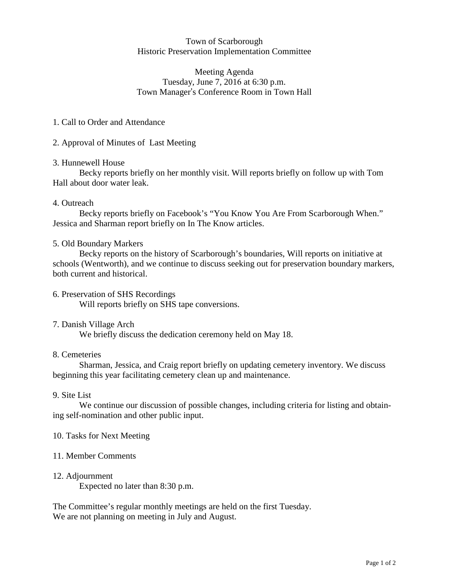## Town of Scarborough Historic Preservation Implementation Committee

# wn of Scarborough<br>ation Implementation Co<br>Meeting Agenda<br>June 7, 2016 at 6:30 p.m Town of Scarborough<br>
c Preservation Implementation Commit<br>
Meeting Agenda<br>
Tuesday, June 7, 2016 at 6:30 p.m.<br>
Manager's Conference Room in Town H Town of Scarborough<br>Historic Preservation Implementation Committee<br>Meeting Agenda<br>Tuesday, June 7, 2016 at 6:30 p.m.<br>Town Manager's Conference Room in Town Hall

### 1. Call to Order and Attendance

## 2. Approval of Minutes of Last Meeting

#### 3. Hunnewell House

Becky reports briefly on her monthly visit. Will reports briefly on follow up with Tom Hall about door water leak.

## 4. Outreach

Becky reports briefly on Facebook's "You Know You Are From Scarborough When." Jessica and Sharman report briefly on In The Know articles.

#### 5. Old Boundary Markers

Becky reports on the history of Scarborough's boundaries, Will reports on initiative at schools (Wentworth), and we continue to discuss seeking out for preservation boundary markers, both current and historical.

- 6. Preservation of SHS Recordings Will reports briefly on SHS tape conversions.
- 7. Danish Village Arch

We briefly discuss the dedication ceremony held on May 18.

#### 8. Cemeteries

Sharman, Jessica, and Craig report briefly on updating cemetery inventory. We discuss beginning this year facilitating cemetery clean up and maintenance.

#### 9. Site List

We continue our discussion of possible changes, including criteria for listing and obtaining self-nomination and other public input.

#### 10. Tasks for Next Meeting

#### 11. Member Comments

#### 12. Adjournment

Expected no later than 8:30 p.m.

The Committee's regular monthly meetings are held on the first Tuesday. We are not planning on meeting in July and August.